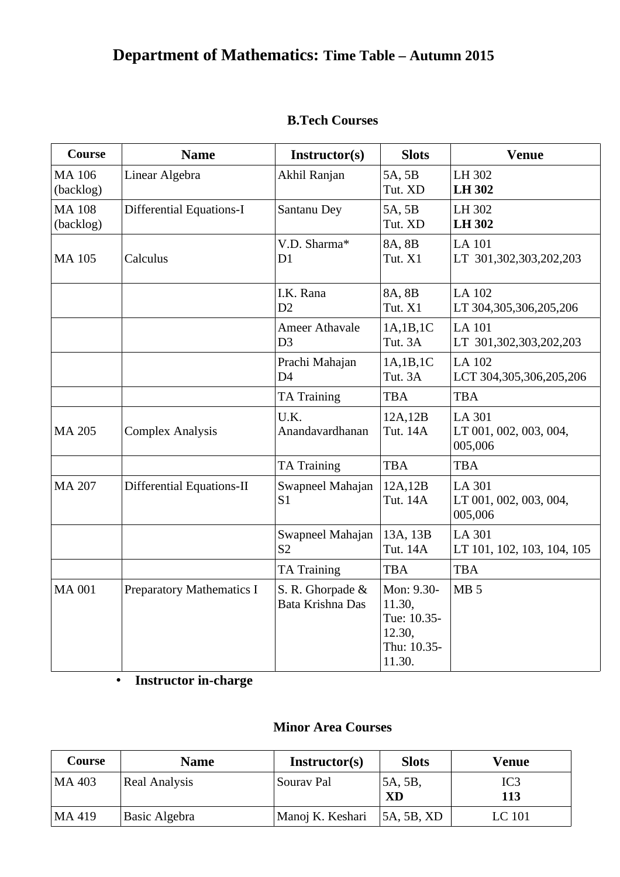# **Department of Mathematics: Time Table – Autumn 2015**

| Course                     | <b>Name</b>                      | Instructor(s)                           | <b>Slots</b>                                                           | <b>Venue</b>                                       |
|----------------------------|----------------------------------|-----------------------------------------|------------------------------------------------------------------------|----------------------------------------------------|
| <b>MA 106</b><br>(backlog) | Linear Algebra                   | Akhil Ranjan                            | 5A, 5B<br>Tut. XD                                                      | LH 302<br><b>LH302</b>                             |
| <b>MA 108</b><br>(backlog) | <b>Differential Equations-I</b>  | Santanu Dey                             | 5A, 5B<br>Tut. XD                                                      | LH 302<br><b>LH302</b>                             |
| <b>MA 105</b>              | Calculus                         | V.D. Sharma*<br>D <sub>1</sub>          | 8A, 8B<br>Tut. X1                                                      | <b>LA 101</b><br>LT 301,302,303,202,203            |
|                            |                                  | I.K. Rana<br>D2                         | 8A, 8B<br>Tut. X1                                                      | LA 102<br>LT 304,305,306,205,206                   |
|                            |                                  | <b>Ameer Athavale</b><br>D <sub>3</sub> | 1A,1B,1C<br>Tut. 3A                                                    | <b>LA 101</b><br>LT 301,302,303,202,203            |
|                            |                                  | Prachi Mahajan<br>D <sub>4</sub>        | 1A,1B,1C<br>Tut. 3A                                                    | <b>LA 102</b><br>LCT 304,305,306,205,206           |
|                            |                                  | <b>TA Training</b>                      | <b>TBA</b>                                                             | <b>TBA</b>                                         |
| <b>MA 205</b>              | <b>Complex Analysis</b>          | U.K.<br>Anandavardhanan                 | 12A,12B<br>Tut. 14A                                                    | <b>LA 301</b><br>LT 001, 002, 003, 004,<br>005,006 |
|                            |                                  | <b>TA Training</b>                      | <b>TBA</b>                                                             | <b>TBA</b>                                         |
| <b>MA 207</b>              | Differential Equations-II        | Swapneel Mahajan<br>S <sub>1</sub>      | 12A,12B<br>Tut. 14A                                                    | LA 301<br>LT 001, 002, 003, 004,<br>005,006        |
|                            |                                  | Swapneel Mahajan<br>S <sub>2</sub>      | 13A, 13B<br>Tut. 14A                                                   | LA 301<br>LT 101, 102, 103, 104, 105               |
|                            |                                  | <b>TA Training</b>                      | <b>TBA</b>                                                             | <b>TBA</b>                                         |
| <b>MA 001</b>              | <b>Preparatory Mathematics I</b> | S. R. Ghorpade &<br>Bata Krishna Das    | Mon: 9.30-<br>11.30,<br>Tue: 10.35-<br>12.30,<br>Thu: 10.35-<br>11.30. | MB <sub>5</sub>                                    |

**Instructor in-charge**

### **Minor Area Courses**

| Course | Name                 | Instructor(s)    | <b>Slots</b>               | Venue      |
|--------|----------------------|------------------|----------------------------|------------|
| MA 403 | <b>Real Analysis</b> | Sourav Pal       | <sup>1</sup> 5A, 5B,<br>XD | IC3<br>113 |
| MA 419 | Basic Algebra        | Manoj K. Keshari | 5A, 5B, XD                 | LC 101     |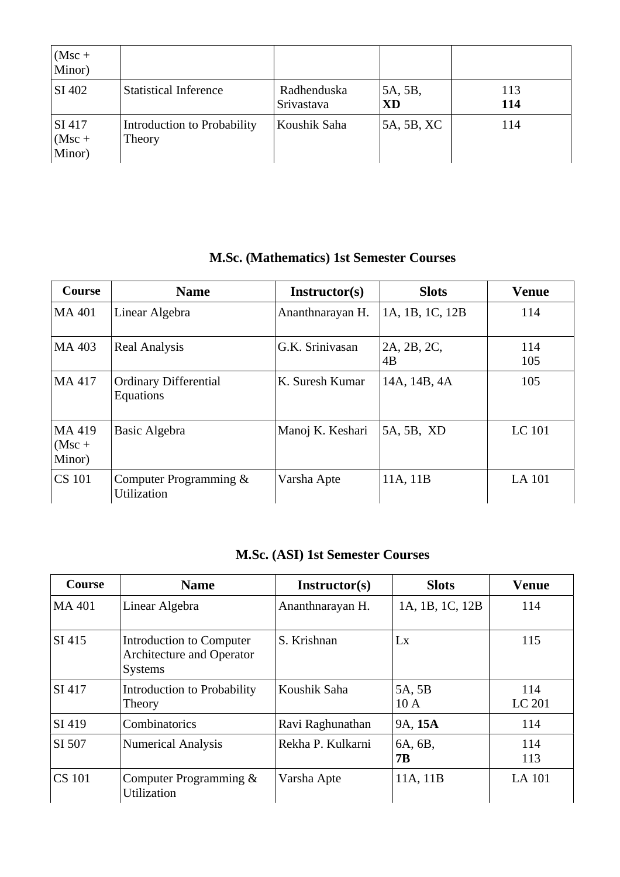| $(Msc +$<br>Minor)           |                                       |                           |               |            |
|------------------------------|---------------------------------------|---------------------------|---------------|------------|
| SI 402                       | <b>Statistical Inference</b>          | Radhenduska<br>Srivastava | 5A, 5B,<br>XD | 113<br>114 |
| SI 417<br>$(Msc +$<br>Minor) | Introduction to Probability<br>Theory | Koushik Saha              | 5A, 5B, XC    | 114        |

### **M.Sc. (Mathematics) 1st Semester Courses**

| Course                       | <b>Name</b>                                  | Instructor(s)    | <b>Slots</b>      | <b>Venue</b>  |
|------------------------------|----------------------------------------------|------------------|-------------------|---------------|
| MA 401                       | Linear Algebra                               | Ananthnarayan H. | 1A, 1B, 1C, 12B   | 114           |
| MA 403                       | <b>Real Analysis</b>                         | G.K. Srinivasan  | 2A, 2B, 2C,<br>4B | 114<br>105    |
| MA 417                       | <b>Ordinary Differential</b><br>Equations    | K. Suresh Kumar  | 14A, 14B, 4A      | 105           |
| MA 419<br>$(Msc +$<br>Minor) | <b>Basic Algebra</b>                         | Manoj K. Keshari | 5A, 5B, XD        | <b>LC 101</b> |
| <b>CS 101</b>                | Computer Programming &<br><b>Utilization</b> | Varsha Apte      | 11A, 11B          | <b>LA 101</b> |

### **M.Sc. (ASI) 1st Semester Courses**

| Course        | <b>Name</b>                                                                    | Instructor(s)     | <b>Slots</b>         | Venue         |
|---------------|--------------------------------------------------------------------------------|-------------------|----------------------|---------------|
| MA 401        | Linear Algebra                                                                 | Ananthnarayan H.  | 1A, 1B, 1C, 12B      | 114           |
| SI 415        | Introduction to Computer<br><b>Architecture and Operator</b><br><b>Systems</b> | S. Krishnan       | Lx                   | 115           |
| SI 417        | Introduction to Probability<br>Theory                                          | Koushik Saha      | 5A, 5B<br>10A        | 114<br>LC 201 |
| SI 419        | Combinatorics                                                                  | Ravi Raghunathan  | 9A, 15A              | 114           |
| SI 507        | <b>Numerical Analysis</b>                                                      | Rekha P. Kulkarni | 6A, 6B,<br><b>7B</b> | 114<br>113    |
| <b>CS 101</b> | Computer Programming &<br>Utilization                                          | Varsha Apte       | 11A, 11B             | LA 101        |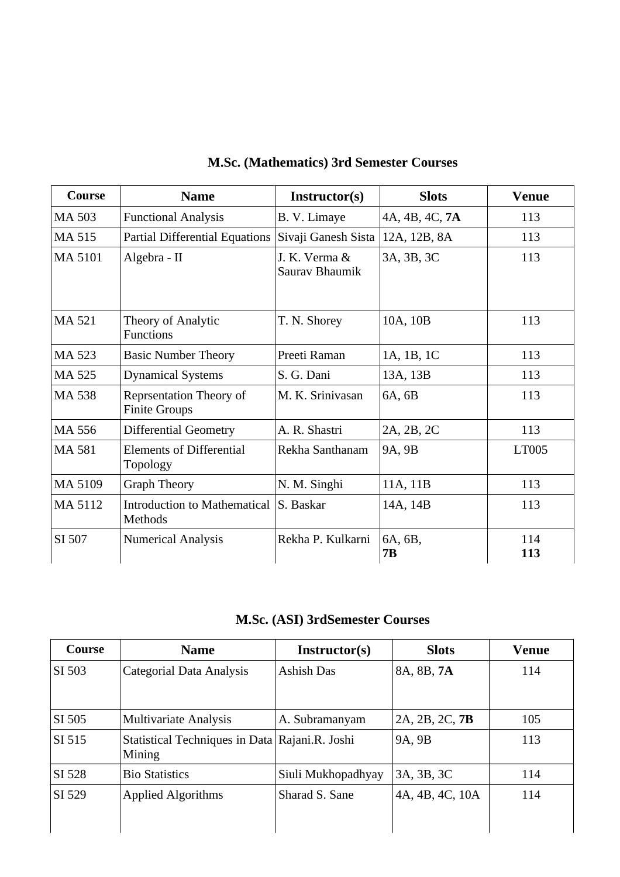| Course        | <b>Name</b>                                            | Instructor(s)                   | <b>Slots</b>         | Venue      |
|---------------|--------------------------------------------------------|---------------------------------|----------------------|------------|
| <b>MA 503</b> | <b>Functional Analysis</b>                             | B. V. Limaye                    | 4A, 4B, 4C, 7A       | 113        |
| MA 515        | <b>Partial Differential Equations</b>                  | Sivaji Ganesh Sista             | 12A, 12B, 8A         | 113        |
| MA 5101       | Algebra - II                                           | J. K. Verma &<br>Saurav Bhaumik | 3A, 3B, 3C           | 113        |
| MA 521        | Theory of Analytic<br><b>Functions</b>                 | T. N. Shorey                    | 10A, 10B             | 113        |
| MA 523        | <b>Basic Number Theory</b>                             | Preeti Raman                    | 1A, 1B, 1C           | 113        |
| MA 525        | <b>Dynamical Systems</b>                               | S. G. Dani                      | 13A, 13B             | 113        |
| <b>MA 538</b> | <b>Reprsentation Theory of</b><br><b>Finite Groups</b> | M. K. Srinivasan                | 6A, 6B               | 113        |
| MA 556        | <b>Differential Geometry</b>                           | A. R. Shastri                   | 2A, 2B, 2C           | 113        |
| MA 581        | <b>Elements of Differential</b><br>Topology            | Rekha Santhanam                 | 9A, 9B               | LT005      |
| MA 5109       | <b>Graph Theory</b>                                    | N. M. Singhi                    | 11A, 11B             | 113        |
| MA 5112       | Introduction to Mathematical<br><b>Methods</b>         | S. Baskar                       | 14A, 14B             | 113        |
| SI 507        | <b>Numerical Analysis</b>                              | Rekha P. Kulkarni               | 6A, 6B,<br><b>7B</b> | 114<br>113 |

## **M.Sc. (Mathematics) 3rd Semester Courses**

**M.Sc. (ASI) 3rdSemester Courses**

| Course | <b>Name</b>                                              | Instructor(s)      | <b>Slots</b>    | <b>Venue</b> |
|--------|----------------------------------------------------------|--------------------|-----------------|--------------|
| SI 503 | Categorial Data Analysis                                 | Ashish Das         | 8A, 8B, 7A      | 114          |
| SI 505 | <b>Multivariate Analysis</b>                             | A. Subramanyam     | 2A, 2B, 2C, 7B  | 105          |
| SI 515 | Statistical Techniques in Data Rajani.R. Joshi<br>Mining |                    | 9A, 9B          | 113          |
| SI 528 | <b>Bio Statistics</b>                                    | Siuli Mukhopadhyay | 3A, 3B, 3C      | 114          |
| SI 529 | <b>Applied Algorithms</b>                                | Sharad S. Sane     | 4A, 4B, 4C, 10A | 114          |